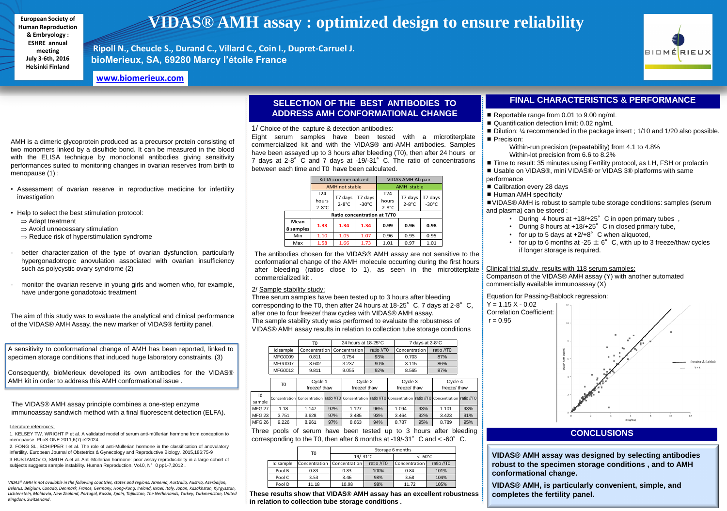**VIDAS® AMH assay was designed by selecting antibodies robust to the specimen storage conditions , and to AMH conformational change.**

**VIDAS® AMH, is particularly convenient, simple, and completes the fertility panel.**

AMH is a dimeric glycoprotein produced as a precursor protein consisting of two monomers linked by a disulfide bond. It can be measured in the blood with the ELISA technique by monoclonal antibodies giving sensitivity performances suited to monitoring changes in ovarian reserves from birth to menopause (1) :

- Assessment of ovarian reserve in reproductive medicine for infertility investigation
- Help to select the best stimulation protocol:
	- $\Rightarrow$  Adapt treatment
	- $\Rightarrow$  Avoid unnecessary stimulation
	- $\Rightarrow$  Reduce risk of hyperstimulation syndrome
- better characterization of the type of ovarian dysfunction, particularly hypergonadotropic anovulation associated with ovarian insufficiency such as polycystic ovary syndrome (2)
- monitor the ovarian reserve in young girls and women who, for example, have undergone gonadotoxic treatment

The aim of this study was to evaluate the analytical and clinical performance of the VIDAS® AMH Assay, the new marker of VIDAS® fertility panel.

# **CONCLUSIONS**

# **VIDAS® AMH assay : optimized design to ensure reliability**

**Ripoll N., Cheucle S., Durand C., Villard C., Coin I., Dupret-Carruel J. bioMerieux, SA, 69280 Marcy l'étoile France**

A sensitivity to conformational change of AMH has been reported, linked to specimen storage conditions that induced huge laboratory constraints. (3)

■ VIDAS® AMH is robust to sample tube storage conditions: samples (serum and plasma) can be stored :

Consequently, bioMerieux developed its own antibodies for the VIDAS® AMH kit in order to address this AMH conformational issue .

- During 4 hours at  $+18/+25$ °C in open primary tubes,
- During 8 hours at +18/+25° C in closed primary tube,
- for up to 5 days at  $+2/+8$ ° C when aliquoted,
- for up to 6 months at -25  $\pm$  6° C, with up to 3 freeze/thaw cycles if longer storage is required.

## 2/ Sample stability study:

2. FONG SL, SCHIPPER I et al. The role of anti-Müllerian hormone in the classification of anovulatory infertility. European Journal of Obstetrics & Gynecology and Reproductive Biology. 2015,186:75-9 3 RUSTAMOV O, SMITH A.et al. Anti-Müllerian hormone: poor assay reproducibility in a large cohort of subjects suggests sample instability. Human Reproduction, Vol.0, N° 0 pp1-7,2012.

Three serum samples have been tested up to 3 hours after bleeding corresponding to the T0, then after 24 hours at  $18-25^\circ$  C, 7 days at  $2-8^\circ$  C, after one to four freeze/ thaw cycles with VIDAS® AMH assay. The sample stability study was performed to evaluate the robustness of VIDAS® AMH assay results in relation to collection tube storage conditions

|           | T0    | Storage 6 months              |            |                   |            |  |  |
|-----------|-------|-------------------------------|------------|-------------------|------------|--|--|
|           |       | $-19/-31°C$                   |            | $< -60^{\circ}$ C |            |  |  |
| Id sample |       | Concentration   Concentration | ratio //T0 | Concentration     | ratio //T0 |  |  |
| Pool B    | 0.83  | 0.83                          | 100%       | 0.84              | 101%       |  |  |
| Pool C    | 3.53  | 3.46                          | 98%        | 3.68              | 104%       |  |  |
| Pool D    | 11.18 | 10.98                         | 98%        | 11.72             | 105%       |  |  |

**These results show that VIDAS® AMH assay has an excellent robustness in relation to collection tube storage conditions .**



Literature references:

The antibodies chosen for the VIDAS® AMH assay are not sensitive to the conformational change of the AMH molecule occurring during the first hours after bleeding (ratios close to 1), as seen in the microtiterplate commercialized kit .

## **SELECTION OF THE BEST ANTIBODIES TO ADDRESS AMH CONFORMATIONAL CHANGE**

### 1/ Choice of the capture & detection antibodies:

Eight serum samples have been tested with a microtiterplate commercialized kit and with the VIDAS® anti-AMH antibodies. Samples have been assayed up to 3 hours after bleeding (T0), then after 24 hours or 7 days at 2-8°C and 7 days at -19/-31°C. The ratio of concentrations between each time and T0 have been calculated.

|                                                                            |                | 24 hours at $18-25^{\circ}$ C<br>TO |     |               |            |               | 7 days at 2-8°C |                                                                                                                   |              |
|----------------------------------------------------------------------------|----------------|-------------------------------------|-----|---------------|------------|---------------|-----------------|-------------------------------------------------------------------------------------------------------------------|--------------|
|                                                                            | Id sample      | Concentration                       |     | Concentration | ratio //T0 | Concentration |                 | ratio //T0                                                                                                        |              |
|                                                                            | <b>MFG0009</b> | 0.811                               |     | 0.754         | 93%        | 0.703         |                 | 87%                                                                                                               |              |
|                                                                            | <b>MFG0007</b> | 3.602                               |     | 3.237         | 90%        | 3.115         |                 | 86%                                                                                                               |              |
|                                                                            | <b>MFG0012</b> | 9.811                               |     | 9.055         | 92%        |               | 8.565           |                                                                                                                   |              |
|                                                                            |                |                                     |     |               |            |               |                 |                                                                                                                   |              |
|                                                                            |                | Cycle 1<br>freeze/ thaw             |     | Cycle 2       |            | Cycle 3       |                 | Cycle 4                                                                                                           |              |
|                                                                            | T0             |                                     |     | freeze/ thaw  |            |               | freeze/ thaw    |                                                                                                                   | freeze/ thaw |
| Id                                                                         |                |                                     |     |               |            |               |                 | Concentration Concentration ratio //T0 Concentration ratio //T0 Concentration ratio //T0 Concentration ratio //T0 |              |
| sample                                                                     |                |                                     |     |               |            |               |                 |                                                                                                                   |              |
| <b>MFG 27</b>                                                              | 1.18           | 1.147                               | 97% | 1.127         | 96%        | 1.094         | 93%             | 1.101                                                                                                             | 93%          |
| MFG 23                                                                     | 3.751          | 3.628                               | 97% | 3.485         | 93%        | 3.464         | 92%             | 3.423                                                                                                             | 91%          |
| MFG 26                                                                     | 9.226          | 8.961                               | 97% | 8.663         | 94%        | 8.787         | 95%             | 8.789                                                                                                             | 95%          |
| Three pools of serum have been tested up to 3 hours after bleeding         |                |                                     |     |               |            |               |                 |                                                                                                                   |              |
| corresponding to the T0, then after 6 months at -19/-31° C and $<$ -60° C. |                |                                     |     |               |            |               |                 |                                                                                                                   |              |

| oair                       |  |
|----------------------------|--|
|                            |  |
| T7 days<br>$-30^{\circ}$ C |  |
|                            |  |
| 0.98                       |  |
| 0.95                       |  |
| 1.01                       |  |
|                            |  |



|                             |                          | Kit IA commercialized |                            | VIDAS AMH Ab pair                    |                     |                         |  |  |  |  |
|-----------------------------|--------------------------|-----------------------|----------------------------|--------------------------------------|---------------------|-------------------------|--|--|--|--|
|                             |                          | <b>AMH not stable</b> |                            | <b>AMH</b> stable                    |                     |                         |  |  |  |  |
|                             | T24<br>hours<br>$2-8$ °C | T7 days<br>$2-8$ °C   | T7 days<br>$-30^{\circ}$ C | T <sub>24</sub><br>hours<br>$2-8$ °C | T7 days<br>$2-8$ °C | T7 day<br>$-30^{\circ}$ |  |  |  |  |
| Ratio concentration at T/T0 |                          |                       |                            |                                      |                     |                         |  |  |  |  |
| Mean<br>8 samples           | 1.33                     | 1.34                  | 1.34                       | 0.99                                 | 0.96                | 0.98                    |  |  |  |  |
| Min                         | 1.10                     | 1.05                  | 1.07                       | 0.96                                 | 0.95                | 0.95                    |  |  |  |  |
| Max                         | 1.58                     | 1.66                  | 1.73                       | 1.01                                 | 0.97                | 1.01                    |  |  |  |  |
|                             |                          |                       |                            |                                      |                     |                         |  |  |  |  |

# **FINAL CHARACTERISTICS & PERFORMANCE**

- Reportable range from 0.01 to 9.00 ng/mL
- Quantification detection limit: 0.02 ng/mL
- Dilution: ¼ recommended in the package insert ; 1/10 and 1/20 also possible. Precision:
	- Within-run precision (repeatability) from 4.1 to 4.8% Within-lot precision from 6.6 to 8.2%
- Time to result: 35 minutes using Fertility protocol, as LH, FSH or prolactin ■ Usable on VIDAS®, mini VIDAS® or VIDAS 3® platforms with same
- performance
- Calibration every 28 days
- Human AMH specificity

## Clinical trial study results with 118 serum samples:

Comparison of the VIDAS® AMH assay (Y) with another automated commercially available immunoassay (X)

## Equation for Passing-Bablock regression:



**European Society of Human Reproduction & Embryology : ESHRE annual meeting July 3-6th, 2016 Helsinki Finland**

The VIDAS® AMH assay principle combines a one-step enzyme immunoassay sandwich method with a final fluorescent detection (ELFA).

*VIDAS® AMH is not available in the following countries, states and regions: Armenia, Australia, Austria, Azerbaijan, Belarus, Belgium, Canada, Denmark, France, Germany, Hong-Kong, Ireland, Israel, Italy, Japan, Kazakhstan, Kyrgyzstan, Lichtenstein, Moldavia, New Zealand, Portugal, Russia, Spain, Tajikistan, The Netherlands, Turkey, Turkmenistan, United Kingdom, Switzerland*.

**[www.biomerieux.com](http://www.biomerieux.com/)**

<sup>1.</sup> KELSEY TW, WRIGHT P et al. A validated model of serum anti-müllerian hormone from conception to menopause. PLoS ONE 2011,6(7):e22024